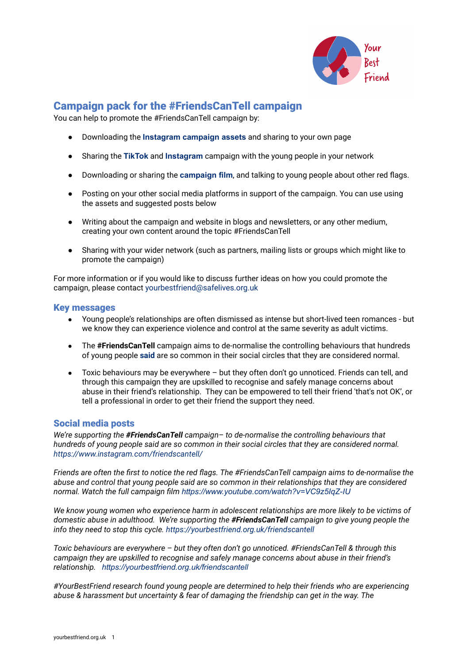

## Campaign pack for the #FriendsCanTell campaign

You can help to promote the #FriendsCanTell campaign by:

- Downloading the **[Instagram](https://files.yourbestfriend.org.uk/FriendsCanTell_Instagram_content_22_02_22.zip) campaign assets** and sharing to your own page
- **●** Sharing the **[TikTok](https://www.tiktok.com/@friendscantell)** and **[Instagram](https://www.instagram.com/friendscantell/)** campaign with the young people in your network
- Downloading or sharing the **[campaign](https://www.youtube.com/watch?v=VC9z5IqZ-IU) film**, and talking to young people about other red flags.
- Posting on your other social media platforms in support of the campaign. You can use using the assets and suggested posts below
- Writing about the campaign and website in blogs and newsletters, or any other medium, creating your own content around the topic #FriendsCanTell
- Sharing with your wider network (such as partners, mailing lists or groups which might like to promote the campaign)

For more information or if you would like to discuss further ideas on how you could promote the campaign, please contact [yourbestfriend@safelives.org.uk](mailto:yourbestfriend@safelives.org.uk)

## Key messages

- Young people's relationships are often dismissed as intense but short-lived teen romances but we know they can experience violence and control at the same severity as adult victims.
- The **#FriendsCanTell** campaign aims to de-normalise the controlling behaviours that hundreds of young people **[said](https://yourbestfriend.org.uk/#rec361779524)** are so common in their social circles that they are considered normal.
- Toxic behaviours may be everywhere but they often don't go unnoticed. Friends can tell, and through this campaign they are upskilled to recognise and safely manage concerns about abuse in their friend's relationship. They can be empowered to tell their friend 'that's not OK', or tell a professional in order to get their friend the support they need.

## Social media posts

*We're supporting the #FriendsCanTell campaign– to de-normalise the controlling behaviours that hundreds of young people said are so common in their social circles that they are considered normal. <https://www.instagram.com/friendscantell/>*

Friends are often the first to notice the red flags. The #FriendsCanTell campaign aims to de-normalise the *abuse and control that young people said are so common in their relationships that they are considered normal. Watch the full campaign film <https://www.youtube.com/watch?v=VC9z5IqZ-IU>*

*We know young women who experience harm in adolescent relationships are more likely to be victims of domestic abuse in adulthood. We're supporting the #FriendsCanTell campaign to give young people the info they need to stop this cycle. <https://yourbestfriend.org.uk/friendscantell>*

*Toxic behaviours are everywhere – but they often don't go unnoticed. #FriendsCanTell & through this campaign they are upskilled to recognise and safely manage concerns about abuse in their friend's relationship. <https://yourbestfriend.org.uk/friendscantell>*

*#YourBestFriend research found young people are determined to help their friends who are experiencing abuse & harassment but uncertainty & fear of damaging the friendship can get in the way. The*